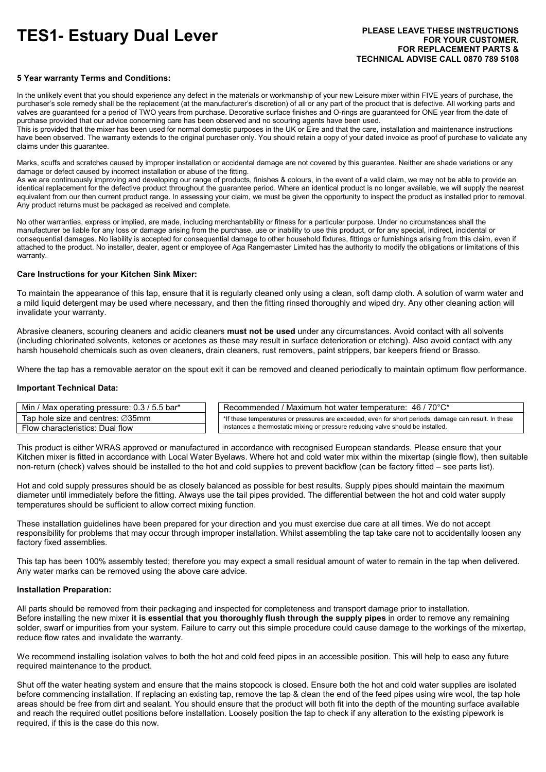# **TES1- Estuary Dual Lever PLEASE LEAVE THESE INSTRUCTIONS**

# **5 Year warranty Terms and Conditions:**

In the unlikely event that you should experience any defect in the materials or workmanship of your new Leisure mixer within FIVE years of purchase, the purchaser's sole remedy shall be the replacement (at the manufacturer's discretion) of all or any part of the product that is defective. All working parts and valves are guaranteed for a period of TWO years from purchase. Decorative surface finishes and O-rings are guaranteed for ONE year from the date of purchase provided that our advice concerning care has been observed and no scouring agents have been used.

This is provided that the mixer has been used for normal domestic purposes in the UK or Eire and that the care, installation and maintenance instructions have been observed. The warranty extends to the original purchaser only. You should retain a copy of your dated invoice as proof of purchase to validate any claims under this guarantee.

Marks, scuffs and scratches caused by improper installation or accidental damage are not covered by this guarantee. Neither are shade variations or any damage or defect caused by incorrect installation or abuse of the fitting.

As we are continuously improving and developing our range of products, finishes & colours, in the event of a valid claim, we may not be able to provide an identical replacement for the defective product throughout the guarantee period. Where an identical product is no longer available, we will supply the nearest equivalent from our then current product range. In assessing your claim, we must be given the opportunity to inspect the product as installed prior to removal. Any product returns must be packaged as received and complete.

No other warranties, express or implied, are made, including merchantability or fitness for a particular purpose. Under no circumstances shall the manufacturer be liable for any loss or damage arising from the purchase, use or inability to use this product, or for any special, indirect, incidental or consequential damages. No liability is accepted for consequential damage to other household fixtures, fittings or furnishings arising from this claim, even if attached to the product. No installer, dealer, agent or employee of Aga Rangemaster Limited has the authority to modify the obligations or limitations of this warranty.

#### **Care Instructions for your Kitchen Sink Mixer:**

To maintain the appearance of this tap, ensure that it is regularly cleaned only using a clean, soft damp cloth. A solution of warm water and a mild liquid detergent may be used where necessary, and then the fitting rinsed thoroughly and wiped dry. Any other cleaning action will invalidate your warranty.

Abrasive cleaners, scouring cleaners and acidic cleaners **must not be used** under any circumstances. Avoid contact with all solvents (including chlorinated solvents, ketones or acetones as these may result in surface deterioration or etching). Also avoid contact with any harsh household chemicals such as oven cleaners, drain cleaners, rust removers, paint strippers, bar keepers friend or Brasso.

Where the tap has a removable aerator on the spout exit it can be removed and cleaned periodically to maintain optimum flow performance.

### **Important Technical Data:**

| Min / Max operating pressure: 0.3 / 5.5 bar*  | Recommended / Maximum hot water temperature: $46$ / $70^{\circ}$ C*                                   |
|-----------------------------------------------|-------------------------------------------------------------------------------------------------------|
| Tap hole size and centres: $\varnothing$ 35mm | *If these temperatures or pressures are exceeded, even for short periods, damage can result. In these |
| Flow characteristics: Dual flow               | instances a thermostatic mixing or pressure reducing valve should be installed.                       |

This product is either WRAS approved or manufactured in accordance with recognised European standards. Please ensure that your Kitchen mixer is fitted in accordance with Local Water Byelaws. Where hot and cold water mix within the mixertap (single flow), then suitable non-return (check) valves should be installed to the hot and cold supplies to prevent backflow (can be factory fitted – see parts list).

Hot and cold supply pressures should be as closely balanced as possible for best results. Supply pipes should maintain the maximum diameter until immediately before the fitting. Always use the tail pipes provided. The differential between the hot and cold water supply temperatures should be sufficient to allow correct mixing function.

These installation guidelines have been prepared for your direction and you must exercise due care at all times. We do not accept responsibility for problems that may occur through improper installation. Whilst assembling the tap take care not to accidentally loosen any factory fixed assemblies.

This tap has been 100% assembly tested; therefore you may expect a small residual amount of water to remain in the tap when delivered. Any water marks can be removed using the above care advice.

# **Installation Preparation:**

All parts should be removed from their packaging and inspected for completeness and transport damage prior to installation. Before installing the new mixer **it is essential that you thoroughly flush through the supply pipes** in order to remove any remaining solder, swarf or impurities from your system. Failure to carry out this simple procedure could cause damage to the workings of the mixertap, reduce flow rates and invalidate the warranty.

We recommend installing isolation valves to both the hot and cold feed pipes in an accessible position. This will help to ease any future required maintenance to the product.

Shut off the water heating system and ensure that the mains stopcock is closed. Ensure both the hot and cold water supplies are isolated before commencing installation. If replacing an existing tap, remove the tap & clean the end of the feed pipes using wire wool, the tap hole areas should be free from dirt and sealant. You should ensure that the product will both fit into the depth of the mounting surface available and reach the required outlet positions before installation. Loosely position the tap to check if any alteration to the existing pipework is required, if this is the case do this now.